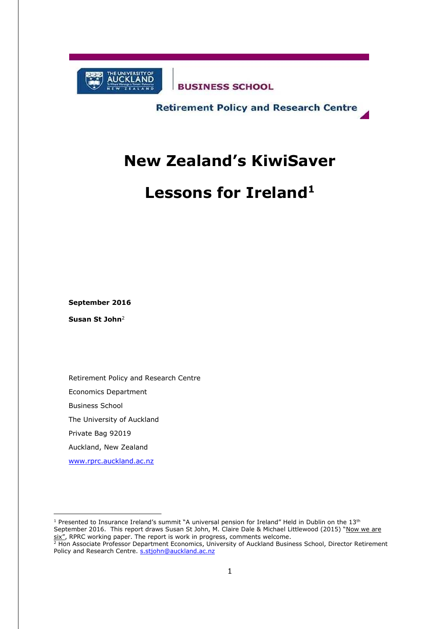

**BUSINESS SCHOOL** 

**Retirement Policy and Research Centre** 

# **New Zealand's KiwiSaver**

# **Lessons for Ireland<sup>1</sup>**

**September 2016**

**Susan St John**<sup>2</sup>

-

Retirement Policy and Research Centre Economics Department Business School The University of Auckland Private Bag 92019 Auckland, New Zealand [www.rprc.auckland.ac.nz](http://www.rprc.auckland.ac.nz/)

<sup>1</sup> Presented to Insurance Ireland's summit "A universal pension for Ireland" Held in Dublin on the 13<sup>th</sup> September 2016. This report draws Susan St John, M. Claire Dale & Michael Littlewood (2015) "Now we are six", RPRC working paper. The report is work in progress, comments welcome.

<sup>&</sup>lt;sup>2</sup> Hon Associate Professor Department Economics, University of Auckland Business School, Director Retirement Policy and Research Centre. [s.stjohn@auckland.ac.nz](mailto:s.stjohn@auckland.ac.nz)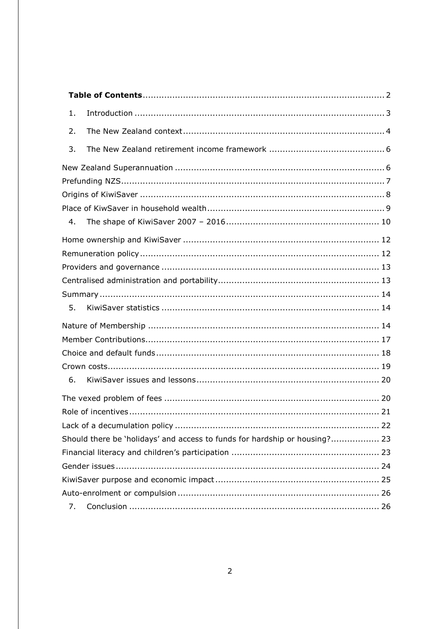<span id="page-1-0"></span>

| 1.                                                                         |  |
|----------------------------------------------------------------------------|--|
| 2.                                                                         |  |
| 3.                                                                         |  |
|                                                                            |  |
|                                                                            |  |
|                                                                            |  |
|                                                                            |  |
| 4.                                                                         |  |
|                                                                            |  |
|                                                                            |  |
|                                                                            |  |
|                                                                            |  |
|                                                                            |  |
| 5.                                                                         |  |
|                                                                            |  |
|                                                                            |  |
|                                                                            |  |
|                                                                            |  |
| 6.                                                                         |  |
|                                                                            |  |
|                                                                            |  |
|                                                                            |  |
| Should there be 'holidays' and access to funds for hardship or housing? 23 |  |
|                                                                            |  |
|                                                                            |  |
|                                                                            |  |
|                                                                            |  |
| 7.                                                                         |  |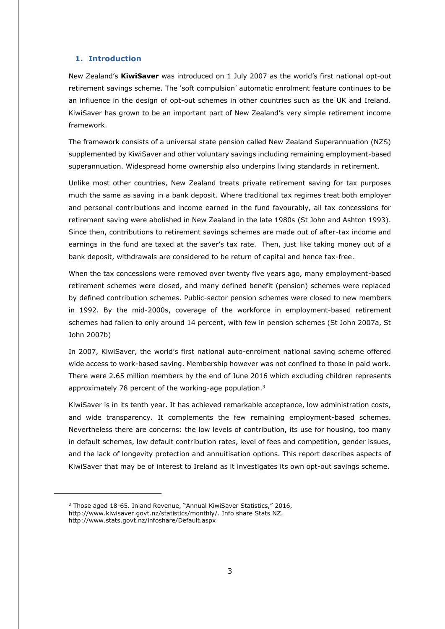# <span id="page-2-0"></span>**1. Introduction**

New Zealand's **KiwiSaver** was introduced on 1 July 2007 as the world's first national opt-out retirement savings scheme. The 'soft compulsion' automatic enrolment feature continues to be an influence in the design of opt-out schemes in other countries such as the UK and Ireland. KiwiSaver has grown to be an important part of New Zealand's very simple retirement income framework.

The framework consists of a universal state pension called New Zealand Superannuation (NZS) supplemented by KiwiSaver and other voluntary savings including remaining employment-based superannuation. Widespread home ownership also underpins living standards in retirement.

Unlike most other countries, New Zealand treats private retirement saving for tax purposes much the same as saving in a bank deposit. Where traditional tax regimes treat both employer and personal contributions and income earned in the fund favourably, all tax concessions for retirement saving were abolished in New Zealand in the late 1980s (St John and Ashton 1993). Since then, contributions to retirement savings schemes are made out of after-tax income and earnings in the fund are taxed at the saver's tax rate. Then, just like taking money out of a bank deposit, withdrawals are considered to be return of capital and hence tax-free.

When the tax concessions were removed over twenty five years ago, many employment-based retirement schemes were closed, and many defined benefit (pension) schemes were replaced by defined contribution schemes. Public-sector pension schemes were closed to new members in 1992. By the mid-2000s, coverage of the workforce in employment-based retirement schemes had fallen to only around 14 percent, with few in pension schemes (St John 2007a, St John 2007b)

In 2007, KiwiSaver, the world's first national auto-enrolment national saving scheme offered wide access to work-based saving. Membership however was not confined to those in paid work. There were 2.65 million members by the end of June 2016 which excluding children represents approximately 78 percent of the working-age population.<sup>3</sup>

KiwiSaver is in its tenth year. It has achieved remarkable acceptance, low administration costs, and wide transparency. It complements the few remaining employment-based schemes. Nevertheless there are concerns: the low levels of contribution, its use for housing, too many in default schemes, low default contribution rates, level of fees and competition, gender issues, and the lack of longevity protection and annuitisation options. This report describes aspects of KiwiSaver that may be of interest to Ireland as it investigates its own opt-out savings scheme.

<sup>&</sup>lt;sup>3</sup> Those aged 18-65. Inland Revenue, "Annual KiwiSaver Statistics," 2016, [http://www.kiwisaver.govt.nz/statistics/monthly/.](http://www.kiwisaver.govt.nz/statistics/monthly/) Info share Stats NZ.

<http://www.stats.govt.nz/infoshare/Default.aspx>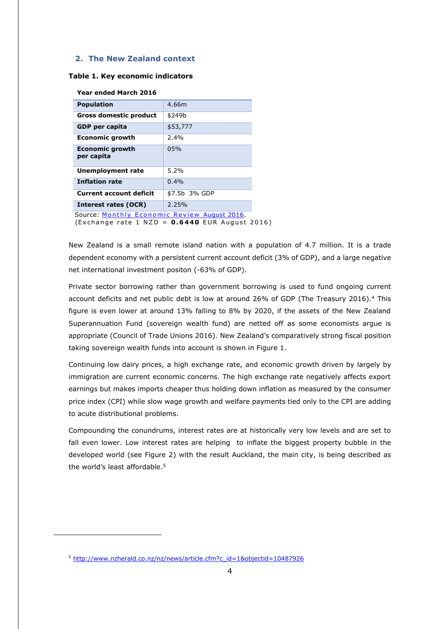## <span id="page-3-0"></span>**2. The New Zealand context**

#### **Table 1. Key economic indicators**

| <b>Population</b>                            | 4.66m         |
|----------------------------------------------|---------------|
| Gross domestic product                       | \$249b        |
| <b>GDP</b> per capita                        | \$53,777      |
| <b>Economic growth</b>                       | 2.4%          |
| <b>Economic growth</b><br>per capita         | 05%           |
| Unemployment rate                            | 5.2%          |
| <b>Inflation rate</b>                        | 0.4%          |
| <b>Current account deficit</b>               | \$7.5b 3% GDP |
| Interest rates (OCR)                         | 2.25%         |
| Source: Monthly Economic Review August 2016. |               |

(Exchange rate 1 NZD = 0.6440 EUR August 2016)

New Zealand is a small remote island nation with a population of 4.7 million. It is a trade dependent economy with a persistent current account deficit (3% of GDP), and a large negative net international investment positon (-63% of GDP).

Private sector borrowing rather than government borrowing is used to fund ongoing current account deficits and net public debt is low at around 26% of GDP (The Treasury 2016). <sup>4</sup> This figure is even lower at around 13% falling to 8% by 2020, if the assets of the New Zealand Superannuation Fund (sovereign wealth fund) are netted off as some economists argue is appropriate (Council of Trade Unions 2016). New Zealand's comparatively strong fiscal position taking sovereign wealth funds into account is shown in Figure 1.

Continuing low dairy prices, a high exchange rate, and economic growth driven by largely by immigration are current economic concerns. The high exchange rate negatively affects export earnings but makes imports cheaper thus holding down inflation as measured by the consumer price index (CPI) while slow wage growth and welfare payments tied only to the CPI are adding to acute distributional problems.

Compounding the conundrums, interest rates are at historically very low levels and are set to fall even lower. Low interest rates are helping to inflate the biggest property bubble in the developed world (see Figure 2) with the result Auckland, the main city, is being described as the world's least affordable. 5

<sup>5</sup> [http://www.nzherald.co.nz/nz/news/article.cfm?c\\_id=1&objectid=10487926](http://www.nzherald.co.nz/nz/news/article.cfm?c_id=1&objectid=10487926)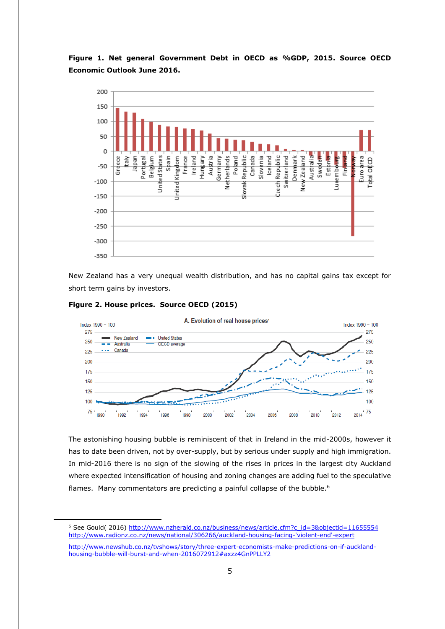# **Figure 1. Net general Government Debt in OECD as %GDP, 2015. Source OECD Economic Outlook June 2016.**



New Zealand has a very unequal wealth distribution, and has no capital gains tax except for short term gains by investors.



-



The astonishing housing bubble is reminiscent of that in Ireland in the mid-2000s, however it has to date been driven, not by over-supply, but by serious under supply and high immigration. In mid-2016 there is no sign of the slowing of the rises in prices in the largest city Auckland where expected intensification of housing and zoning changes are adding fuel to the speculative flames. Many commentators are predicting a painful collapse of the bubble.<sup>6</sup>

<sup>&</sup>lt;sup>6</sup> See Gould( 2016) [http://www.nzherald.co.nz/business/news/article.cfm?c\\_id=3&objectid=11655554](http://www.nzherald.co.nz/business/news/article.cfm?c_id=3&objectid=11655554) [http://www.radionz.co.nz/news/national/306266/auckland-housing-facing-'violent-end'-expert](http://www.radionz.co.nz/news/national/306266/auckland-housing-facing-)

[http://www.newshub.co.nz/tvshows/story/three-expert-economists-make-predictions-on-if-auckland](http://www.newshub.co.nz/tvshows/story/three-expert-economists-make-predictions-on-if-auckland-housing-bubble-will-burst-and-when-2016072912#axzz4GnPPLLY2)[housing-bubble-will-burst-and-when-2016072912#axzz4GnPPLLY2](http://www.newshub.co.nz/tvshows/story/three-expert-economists-make-predictions-on-if-auckland-housing-bubble-will-burst-and-when-2016072912#axzz4GnPPLLY2)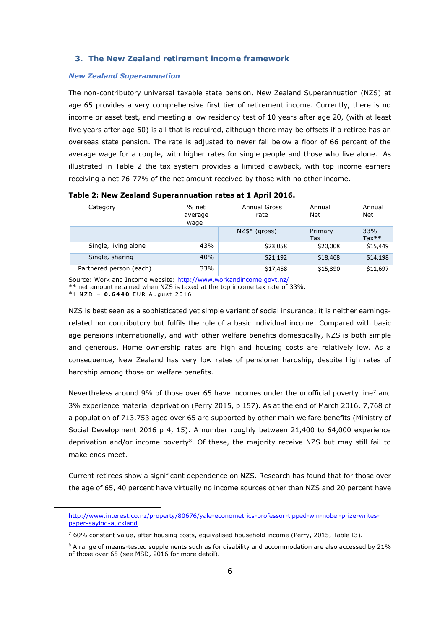# <span id="page-5-0"></span>**3. The New Zealand retirement income framework**

#### <span id="page-5-1"></span>*New Zealand Superannuation*

The non-contributory universal taxable state pension, New Zealand Superannuation (NZS) at age 65 provides a very comprehensive first tier of retirement income. Currently, there is no income or asset test, and meeting a low residency test of 10 years after age 20, (with at least five years after age 50) is all that is required, although there may be offsets if a retiree has an overseas state pension. The rate is adjusted to never fall below a floor of 66 percent of the average wage for a couple, with higher rates for single people and those who live alone. As illustrated in Table 2 the tax system provides a limited clawback, with top income earners receiving a net 76-77% of the net amount received by those with no other income.

| Category                | % net<br>average<br>wage | Annual Gross<br>rate | Annual<br>Net  | Annual<br>Net  |
|-------------------------|--------------------------|----------------------|----------------|----------------|
|                         |                          | $NZ$ \$* (gross)     | Primary<br>Tax | 33%<br>$Tax**$ |
| Single, living alone    | 43%                      | \$23,058             | \$20,008       | \$15,449       |
| Single, sharing         | 40%                      | \$21,192             | \$18,468       | \$14,198       |
| Partnered person (each) | 33%                      | \$17,458             | \$15,390       | \$11,697       |

# **Table 2: New Zealand Superannuation rates at 1 April 2016.**

Source: Work and Income website:<http://www.workandincome.govt.nz/>

\*\* net amount retained when NZS is taxed at the top income tax rate of 33%.

 $*1$  NZD = 0.6440 EUR August 2016

-

NZS is best seen as a sophisticated yet simple variant of social insurance; it is neither earningsrelated nor contributory but fulfils the role of a basic individual income. Compared with basic age pensions internationally, and with other welfare benefits domestically, NZS is both simple and generous. Home ownership rates are high and housing costs are relatively low. As a consequence, New Zealand has very low rates of pensioner hardship, despite high rates of hardship among those on welfare benefits.

Nevertheless around 9% of those over 65 have incomes under the unofficial poverty line<sup>7</sup> and 3% experience material deprivation (Perry 2015, p 157). As at the end of March 2016, 7,768 of a population of 713,753 aged over 65 are supported by other main welfare benefits (Ministry of Social Development 2016 p 4, 15). A number roughly between 21,400 to 64,000 experience deprivation and/or income poverty<sup>8</sup>. Of these, the majority receive NZS but may still fail to make ends meet.

Current retirees show a significant dependence on NZS. Research has found that for those over the age of 65, 40 percent have virtually no income sources other than NZS and 20 percent have

[http://www.interest.co.nz/property/80676/yale-econometrics-professor-tipped-win-nobel-prize-writes](http://www.interest.co.nz/property/80676/yale-econometrics-professor-tipped-win-nobel-prize-writes-paper-saying-auckland)[paper-saying-auckland](http://www.interest.co.nz/property/80676/yale-econometrics-professor-tipped-win-nobel-prize-writes-paper-saying-auckland)

 $760\%$  constant value, after housing costs, equivalised household income (Perry, 2015, Table I3).

<sup>&</sup>lt;sup>8</sup> A range of means-tested supplements such as for disability and accommodation are also accessed by 21% of those over 65 (see MSD, 2016 for more detail).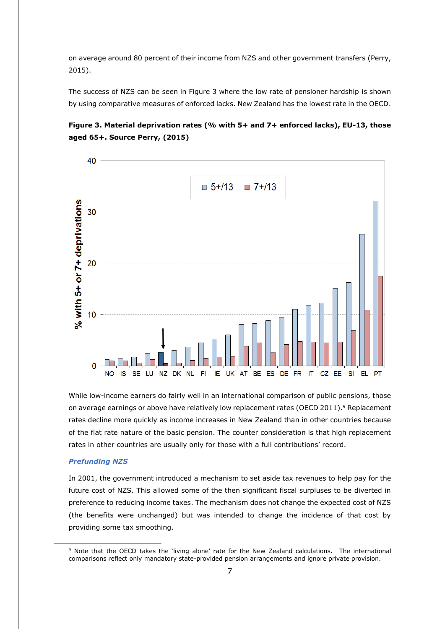on average around 80 percent of their income from NZS and other government transfers (Perry, 2015).

The success of NZS can be seen in Figure 3 where the low rate of pensioner hardship is shown by using comparative measures of enforced lacks. New Zealand has the lowest rate in the OECD.





While low-income earners do fairly well in an international comparison of public pensions, those on average earnings or above have relatively low replacement rates (OECD 2011).<sup>9</sup> Replacement rates decline more quickly as income increases in New Zealand than in other countries because of the flat rate nature of the basic pension. The counter consideration is that high replacement rates in other countries are usually only for those with a full contributions' record.

# <span id="page-6-0"></span>*Prefunding NZS*

-

In 2001, the government introduced a mechanism to set aside tax revenues to help pay for the future cost of NZS. This allowed some of the then significant fiscal surpluses to be diverted in preference to reducing income taxes. The mechanism does not change the expected cost of NZS (the benefits were unchanged) but was intended to change the incidence of that cost by providing some tax smoothing.

<sup>9</sup> Note that the OECD takes the 'living alone' rate for the New Zealand calculations. The international comparisons reflect only mandatory state-provided pension arrangements and ignore private provision.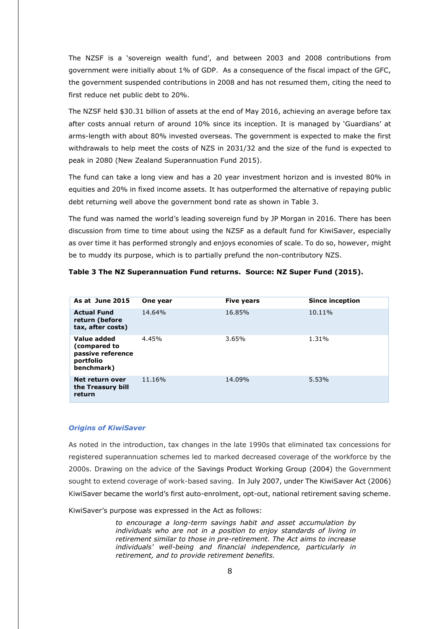The NZSF is a 'sovereign wealth fund', and between 2003 and 2008 contributions from government were initially about 1% of GDP. As a consequence of the fiscal impact of the GFC, the government suspended contributions in 2008 and has not resumed them, citing the need to first reduce net public debt to 20%.

The NZSF held \$30.31 billion of assets at the end of May 2016, achieving an average before tax after costs annual return of around 10% since its inception. It is managed by 'Guardians' at arms-length with about 80% invested overseas. The government is expected to make the first withdrawals to help meet the costs of NZS in 2031/32 and the size of the fund is expected to peak in 2080 (New Zealand Superannuation Fund 2015).

The fund can take a long view and has a 20 year investment horizon and is invested 80% in equities and 20% in fixed income assets. It has outperformed the alternative of repaying public debt returning well above the government bond rate as shown in Table 3.

The fund was named the world's leading sovereign fund by JP Morgan in 2016. There has been discussion from time to time about using the NZSF as a default fund for KiwiSaver, especially as over time it has performed strongly and enjoys economies of scale. To do so, however, might be to muddy its purpose, which is to partially prefund the non-contributory NZS.

| As at June 2015                                                             | One year | <b>Five years</b> | <b>Since inception</b> |
|-----------------------------------------------------------------------------|----------|-------------------|------------------------|
| <b>Actual Fund</b><br>return (before<br>tax, after costs)                   | 14.64%   | 16.85%            | 10.11%                 |
| Value added<br>(compared to<br>passive reference<br>portfolio<br>benchmark) | 4.45%    | 3.65%             | 1.31%                  |
| Net return over<br>the Treasury bill<br>return                              | 11.16%   | 14.09%            | 5.53%                  |

#### **Table 3 The NZ Superannuation Fund returns. Source: NZ Super Fund (2015).**

#### <span id="page-7-0"></span>*Origins of KiwiSaver*

As noted in the introduction, tax changes in the late 1990s that eliminated tax concessions for registered superannuation schemes led to marked decreased coverage of the workforce by the 2000s. Drawing on the advice of the Savings Product Working Group (2004) the Government sought to extend coverage of work-based saving. In July 2007, under The KiwiSaver Act (2006) KiwiSaver became the world's first auto-enrolment, opt-out, national retirement saving scheme.

KiwiSaver's purpose was expressed in the Act as follows:

*to encourage a long-term savings habit and asset accumulation by individuals who are not in a position to enjoy standards of living in retirement similar to those in pre-retirement. The Act aims to increase individuals' well-being and financial independence, particularly in retirement, and to provide retirement benefits.*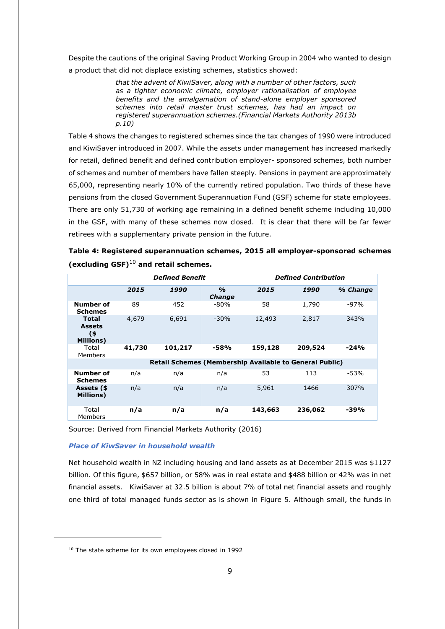Despite the cautions of the original Saving Product Working Group in 2004 who wanted to design a product that did not displace existing schemes, statistics showed:

> *that the advent of KiwiSaver, along with a number of other factors, such as a tighter economic climate, employer rationalisation of employee benefits and the amalgamation of stand-alone employer sponsored schemes into retail master trust schemes, has had an impact on registered superannuation schemes.(Financial Markets Authority 2013b p.10)*

Table 4 shows the changes to registered schemes since the tax changes of 1990 were introduced and KiwiSaver introduced in 2007. While the assets under management has increased markedly for retail, defined benefit and defined contribution employer- sponsored schemes, both number of schemes and number of members have fallen steeply. Pensions in payment are approximately 65,000, representing nearly 10% of the currently retired population. Two thirds of these have pensions from the closed Government Superannuation Fund (GSF) scheme for state employees. There are only 51,730 of working age remaining in a defined benefit scheme including 10,000 in the GSF, with many of these schemes now closed. It is clear that there will be far fewer retirees with a supplementary private pension in the future.

| Table 4: Registered superannuation schemes, 2015 all employer-sponsored schemes |  |
|---------------------------------------------------------------------------------|--|
| (excluding $GSF)^{10}$ and retail schemes.                                      |  |

|                                                          |        | <b>Defined Benefit</b> |                                |                                                         | <b>Defined Contribution</b> |          |
|----------------------------------------------------------|--------|------------------------|--------------------------------|---------------------------------------------------------|-----------------------------|----------|
|                                                          | 2015   | 1990                   | $\frac{1}{2}$<br><b>Change</b> | 2015                                                    | 1990                        | % Change |
| Number of<br><b>Schemes</b>                              | 89     | 452                    | -80%                           | 58                                                      | 1,790                       | $-97%$   |
| <b>Total</b><br><b>Assets</b><br>(\$<br><b>Millions)</b> | 4,679  | 6,691                  | $-30%$                         | 12,493                                                  | 2,817                       | 343%     |
| Total<br>Members                                         | 41,730 | 101,217                | -58%                           | 159,128                                                 | 209,524                     | $-24%$   |
|                                                          |        |                        |                                | Retail Schemes (Membership Available to General Public) |                             |          |
| Number of<br><b>Schemes</b>                              | n/a    | n/a                    | n/a                            | 53                                                      | 113                         | $-53%$   |
| Assets (\$<br><b>Millions)</b>                           | n/a    | n/a                    | n/a                            | 5,961                                                   | 1466                        | 307%     |
| Total<br>Members                                         | n/a    | n/a                    | n/a                            | 143,663                                                 | 236,062                     | -39%     |

Source: Derived from Financial Markets Authority (2016)

#### <span id="page-8-0"></span>*Place of KiwSaver in household wealth*

Net household wealth in NZ including housing and land assets as at December 2015 was \$1127 billion. Of this figure, \$657 billion, or 58% was in real estate and \$488 billion or 42% was in net financial assets. KiwiSaver at 32.5 billion is about 7% of total net financial assets and roughly one third of total managed funds sector as is shown in Figure 5. Although small, the funds in

<sup>&</sup>lt;sup>10</sup> The state scheme for its own employees closed in 1992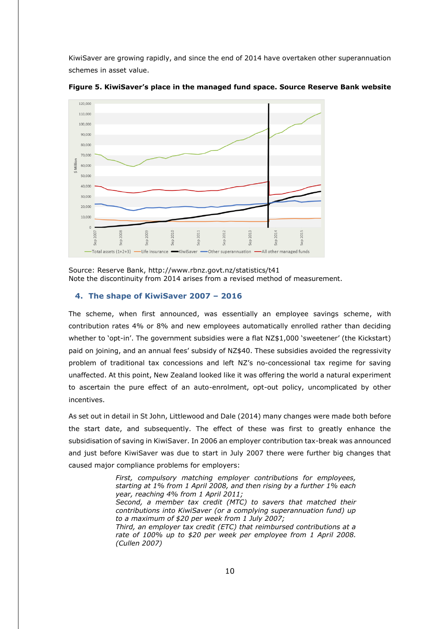KiwiSaver are growing rapidly, and since the end of 2014 have overtaken other superannuation schemes in asset value.



**Figure 5. KiwiSaver's place in the managed fund space. Source Reserve Bank website**

<span id="page-9-0"></span>Source: Reserve Bank,<http://www.rbnz.govt.nz/statistics/t41> Note the discontinuity from 2014 arises from a revised method of measurement.

#### **4. The shape of KiwiSaver 2007 – 2016**

The scheme, when first announced, was essentially an employee savings scheme, with contribution rates 4% or 8% and new employees automatically enrolled rather than deciding whether to 'opt-in'. The government subsidies were a flat NZ\$1,000 'sweetener' (the Kickstart) paid on joining, and an annual fees' subsidy of NZ\$40. These subsidies avoided the regressivity problem of traditional tax concessions and left NZ's no-concessional tax regime for saving unaffected. At this point, New Zealand looked like it was offering the world a natural experiment to ascertain the pure effect of an auto-enrolment, opt-out policy, uncomplicated by other incentives.

As set out in detail in St John, Littlewood and Dale (2014) many changes were made both before the start date, and subsequently. The effect of these was first to greatly enhance the subsidisation of saving in KiwiSaver. In 2006 an employer contribution tax-break was announced and just before KiwiSaver was due to start in July 2007 there were further big changes that caused major compliance problems for employers:

> *First, compulsory matching employer contributions for employees, starting at 1% from 1 April 2008, and then rising by a further 1% each year, reaching 4% from 1 April 2011; Second, a member tax credit (MTC) to savers that matched their contributions into KiwiSaver (or a complying superannuation fund) up to a maximum of \$20 per week from 1 July 2007; Third, an employer tax credit (ETC) that reimbursed contributions at a rate of 100% up to \$20 per week per employee from 1 April 2008. (Cullen 2007)*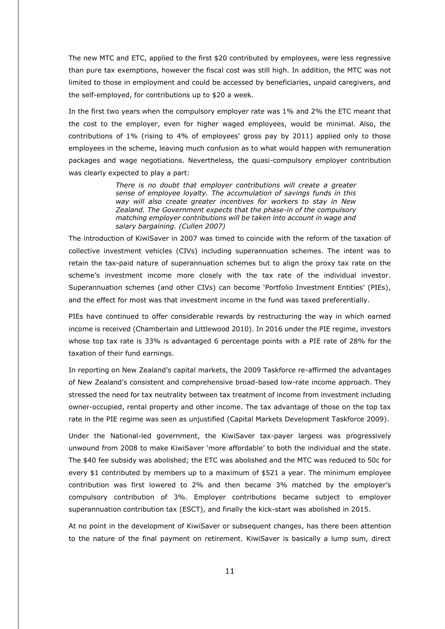The new MTC and ETC, applied to the first \$20 contributed by employees, were less regressive than pure tax exemptions, however the fiscal cost was still high. In addition, the MTC was not limited to those in employment and could be accessed by beneficiaries, unpaid caregivers, and the self-employed, for contributions up to \$20 a week.

In the first two years when the compulsory employer rate was 1% and 2% the ETC meant that the cost to the employer, even for higher waged employees, would be minimal. Also, the contributions of 1% (rising to 4% of employees' gross pay by 2011) applied only to those employees in the scheme, leaving much confusion as to what would happen with remuneration packages and wage negotiations. Nevertheless, the quasi-compulsory employer contribution was clearly expected to play a part:

> *There is no doubt that employer contributions will create a greater sense of employee loyalty. The accumulation of savings funds in this way will also create greater incentives for workers to stay in New Zealand. The Government expects that the phase-in of the compulsory matching employer contributions will be taken into account in wage and salary bargaining. (Cullen 2007)*

The introduction of KiwiSaver in 2007 was timed to coincide with the reform of the taxation of collective investment vehicles (CIVs) including superannuation schemes. The intent was to retain the tax-paid nature of superannuation schemes but to align the proxy tax rate on the scheme's investment income more closely with the tax rate of the individual investor. Superannuation schemes (and other CIVs) can become 'Portfolio Investment Entities' (PIEs), and the effect for most was that investment income in the fund was taxed preferentially.

PIEs have continued to offer considerable rewards by restructuring the way in which earned income is received (Chamberlain and Littlewood 2010). In 2016 under the PIE regime, investors whose top tax rate is 33% is advantaged 6 percentage points with a PIE rate of 28% for the taxation of their fund earnings.

In reporting on New Zealand's capital markets, the 2009 Taskforce re-affirmed the advantages of New Zealand's consistent and comprehensive broad-based low-rate income approach. They stressed the need for tax neutrality between tax treatment of income from investment including owner-occupied, rental property and other income. The tax advantage of those on the top tax rate in the PIE regime was seen as unjustified (Capital Markets Development Taskforce 2009).

Under the National-led government, the KiwiSaver tax-payer largess was progressively unwound from 2008 to make KiwiSaver 'more affordable' to both the individual and the state. The \$40 fee subsidy was abolished; the ETC was abolished and the MTC was reduced to 50c for every \$1 contributed by members up to a maximum of \$521 a year. The minimum employee contribution was first lowered to 2% and then became 3% matched by the employer's compulsory contribution of 3%. Employer contributions became subject to employer superannuation contribution tax (ESCT), and finally the kick-start was abolished in 2015.

At no point in the development of KiwiSaver or subsequent changes, has there been attention to the nature of the final payment on retirement. KiwiSaver is basically a lump sum, direct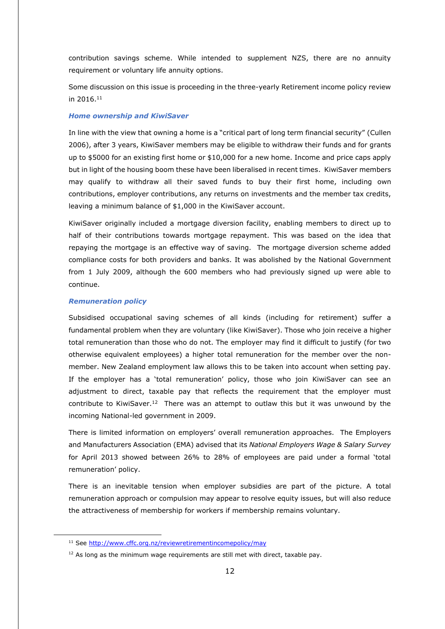contribution savings scheme. While intended to supplement NZS, there are no annuity requirement or voluntary life annuity options.

Some discussion on this issue is proceeding in the three-yearly Retirement income policy review in 2016. 11

#### <span id="page-11-0"></span>*Home ownership and KiwiSaver*

In line with the view that owning a home is a "critical part of long term financial security" (Cullen 2006), after 3 years, KiwiSaver members may be eligible to withdraw their funds and for grants up to \$5000 for an existing first home or \$10,000 for a new home. Income and price caps apply but in light of the housing boom these have been liberalised in recent times. KiwiSaver members may qualify to withdraw all their saved funds to buy their first home, including own contributions, employer contributions, any returns on investments and the member tax credits, leaving a minimum balance of \$1,000 in the KiwiSaver account.

KiwiSaver originally included a mortgage diversion facility, enabling members to direct up to half of their contributions towards mortgage repayment. This was based on the idea that repaying the mortgage is an effective way of saving. The mortgage diversion scheme added compliance costs for both providers and banks. It was abolished by the National Government from 1 July 2009, although the 600 members who had previously signed up were able to continue.

#### <span id="page-11-1"></span>*Remuneration policy*

-

Subsidised occupational saving schemes of all kinds (including for retirement) suffer a fundamental problem when they are voluntary (like KiwiSaver). Those who join receive a higher total remuneration than those who do not. The employer may find it difficult to justify (for two otherwise equivalent employees) a higher total remuneration for the member over the nonmember. New Zealand employment law allows this to be taken into account when setting pay. If the employer has a 'total remuneration' policy, those who join KiwiSaver can see an adjustment to direct, taxable pay that reflects the requirement that the employer must contribute to KiwiSaver.<sup>12</sup> There was an attempt to outlaw this but it was unwound by the incoming National-led government in 2009.

There is limited information on employers' overall remuneration approaches. The Employers and Manufacturers Association (EMA) advised that its *National Employers Wage & Salary Survey* for April 2013 showed between 26% to 28% of employees are paid under a formal 'total remuneration' policy.

There is an inevitable tension when employer subsidies are part of the picture. A total remuneration approach or compulsion may appear to resolve equity issues, but will also reduce the attractiveness of membership for workers if membership remains voluntary.

<sup>&</sup>lt;sup>11</sup> See<http://www.cffc.org.nz/reviewretirementincomepolicy/may>

 $12$  As long as the minimum wage requirements are still met with direct, taxable pay.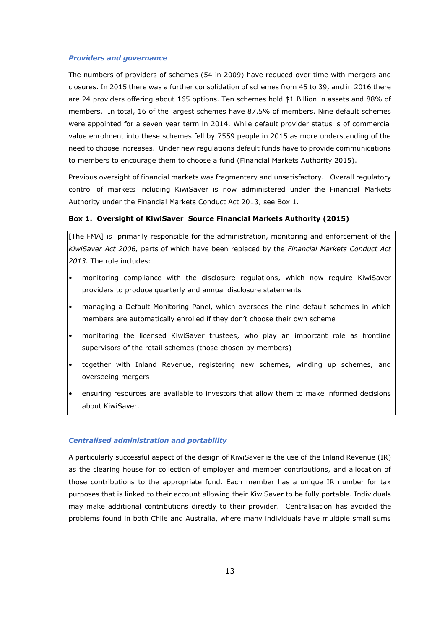#### <span id="page-12-0"></span>*Providers and governance*

The numbers of providers of schemes (54 in 2009) have reduced over time with mergers and closures. In 2015 there was a further consolidation of schemes from 45 to 39, and in 2016 there are 24 providers offering about 165 options. Ten schemes hold \$1 Billion in assets and 88% of members. In total, 16 of the largest schemes have 87.5% of members. Nine default schemes were appointed for a seven year term in 2014. While default provider status is of commercial value enrolment into these schemes fell by 7559 people in 2015 as more understanding of the need to choose increases. Under new regulations default funds have to provide communications to members to encourage them to choose a fund (Financial Markets Authority 2015).

Previous oversight of financial markets was fragmentary and unsatisfactory. Overall regulatory control of markets including KiwiSaver is now administered under the Financial Markets Authority under the Financial Markets Conduct Act 2013, see Box 1.

#### **Box 1. Oversight of KiwiSaver Source Financial Markets Authority (2015)**

[The FMA] is primarily responsible for the administration, monitoring and enforcement of the *KiwiSaver Act 2006,* parts of which have been replaced by the *Financial Markets Conduct Act 2013.* The role includes:

- monitoring compliance with the disclosure regulations, which now require KiwiSaver providers to produce quarterly and annual disclosure statements
- managing a Default Monitoring Panel, which oversees the nine default schemes in which members are automatically enrolled if they don't choose their own scheme
- monitoring the licensed KiwiSaver trustees, who play an important role as frontline supervisors of the retail schemes (those chosen by members)
- together with Inland Revenue, registering new schemes, winding up schemes, and overseeing mergers
- ensuring resources are available to investors that allow them to make informed decisions about KiwiSaver.

#### <span id="page-12-1"></span>*Centralised administration and portability*

A particularly successful aspect of the design of KiwiSaver is the use of the Inland Revenue (IR) as the clearing house for collection of employer and member contributions, and allocation of those contributions to the appropriate fund. Each member has a unique IR number for tax purposes that is linked to their account allowing their KiwiSaver to be fully portable. Individuals may make additional contributions directly to their provider. Centralisation has avoided the problems found in both Chile and Australia, where many individuals have multiple small sums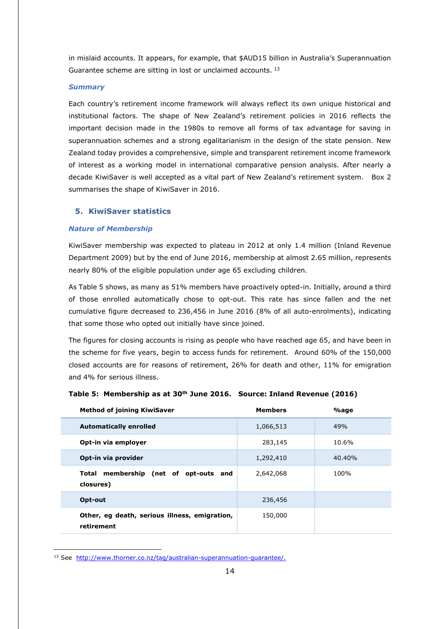in mislaid accounts. It appears, for example, that \$AUD15 billion in Australia's Superannuation Guarantee scheme are sitting in lost or unclaimed accounts. <sup>13</sup>

#### <span id="page-13-0"></span>*Summary*

Each country's retirement income framework will always reflect its own unique historical and institutional factors. The shape of New Zealand's retirement policies in 2016 reflects the important decision made in the 1980s to remove all forms of tax advantage for saving in superannuation schemes and a strong egalitarianism in the design of the state pension. New Zealand today provides a comprehensive, simple and transparent retirement income framework of interest as a working model in international comparative pension analysis. After nearly a decade KiwiSaver is well accepted as a vital part of New Zealand's retirement system. Box 2 summarises the shape of KiwiSaver in 2016.

## <span id="page-13-1"></span>**5. KiwiSaver statistics**

#### <span id="page-13-2"></span>*Nature of Membership*

KiwiSaver membership was expected to plateau in 2012 at only 1.4 million (Inland Revenue Department 2009) but by the end of June 2016, membership at almost 2.65 million, represents nearly 80% of the eligible population under age 65 excluding children.

As Table 5 shows, as many as 51% members have proactively opted-in. Initially, around a third of those enrolled automatically chose to opt-out. This rate has since fallen and the net cumulative figure decreased to 236,456 in June 2016 (8% of all auto-enrolments), indicating that some those who opted out initially have since joined.

The figures for closing accounts is rising as people who have reached age 65, and have been in the scheme for five years, begin to access funds for retirement. Around 60% of the 150,000 closed accounts are for reasons of retirement, 26% for death and other, 11% for emigration and 4% for serious illness.

| <b>Method of joining KiwiSaver</b>                          | <b>Members</b> | $\%$ age |
|-------------------------------------------------------------|----------------|----------|
| <b>Automatically enrolled</b>                               | 1,066,513      | 49%      |
| Opt-in via employer                                         | 283,145        | 10.6%    |
| Opt-in via provider                                         | 1,292,410      | 40.40%   |
| Total membership (net of opt-outs and<br>closures)          | 2,642,068      | 100%     |
| Opt-out                                                     | 236,456        |          |
| Other, eg death, serious illness, emigration,<br>retirement | 150,000        |          |

#### **Table 5: Membership as at 30th June 2016. Source: Inland Revenue (2016)**

<sup>13</sup> See [http://www.thorner.co.nz/tag/australian-superannuation-guarantee/.](http://www.thorner.co.nz/tag/australian-superannuation-guarantee/)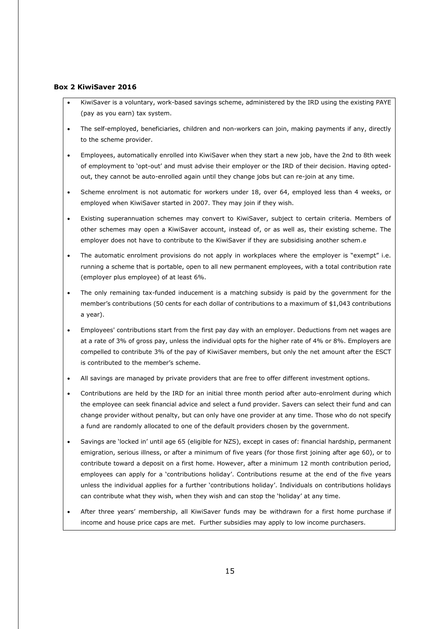# **Box 2 KiwiSaver 2016**

- KiwiSaver is a voluntary, work-based savings scheme, administered by the IRD using the existing PAYE (pay as you earn) tax system.
- The self-employed, beneficiaries, children and non-workers can join, making payments if any, directly to the scheme provider.
- Employees, automatically enrolled into KiwiSaver when they start a new job, have the 2nd to 8th week of employment to 'opt-out' and must advise their employer or the IRD of their decision. Having optedout, they cannot be auto-enrolled again until they change jobs but can re-join at any time.
- Scheme enrolment is not automatic for workers under 18, over 64, employed less than 4 weeks, or employed when KiwiSaver started in 2007. They may join if they wish.
- Existing superannuation schemes may convert to KiwiSaver, subject to certain criteria. Members of other schemes may open a KiwiSaver account, instead of, or as well as, their existing scheme. The employer does not have to contribute to the KiwiSaver if they are subsidising another schem.e
- The automatic enrolment provisions do not apply in workplaces where the employer is "exempt" i.e. running a scheme that is portable, open to all new permanent employees, with a total contribution rate (employer plus employee) of at least 6%.
- The only remaining tax-funded inducement is a matching subsidy is paid by the government for the member's contributions (50 cents for each dollar of contributions to a maximum of \$1,043 contributions a year).
- Employees' contributions start from the first pay day with an employer. Deductions from net wages are at a rate of 3% of gross pay, unless the individual opts for the higher rate of 4% or 8%. Employers are compelled to contribute 3% of the pay of KiwiSaver members, but only the net amount after the ESCT is contributed to the member's scheme.
- All savings are managed by private providers that are free to offer different investment options.
- Contributions are held by the IRD for an initial three month period after auto-enrolment during which the employee can seek financial advice and select a fund provider. Savers can select their fund and can change provider without penalty, but can only have one provider at any time. Those who do not specify a fund are randomly allocated to one of the default providers chosen by the government.
- Savings are 'locked in' until age 65 (eligible for NZS), except in cases of: financial hardship, permanent emigration, serious illness, or after a minimum of five years (for those first joining after age 60), or to contribute toward a deposit on a first home. However, after a minimum 12 month contribution period, employees can apply for a 'contributions holiday'. Contributions resume at the end of the five years unless the individual applies for a further 'contributions holiday'. Individuals on contributions holidays can contribute what they wish, when they wish and can stop the 'holiday' at any time.
- After three years' membership, all KiwiSaver funds may be withdrawn for a first home purchase if income and house price caps are met. Further subsidies may apply to low income purchasers.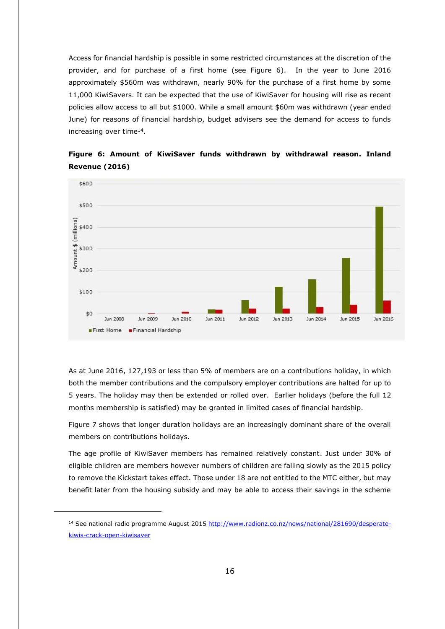Access for financial hardship is possible in some restricted circumstances at the discretion of the provider, and for purchase of a first home (see Figure 6). In the year to June 2016 approximately \$560m was withdrawn, nearly 90% for the purchase of a first home by some 11,000 KiwiSavers. It can be expected that the use of KiwiSaver for housing will rise as recent policies allow access to all but \$1000. While a small amount \$60m was withdrawn (year ended June) for reasons of financial hardship, budget advisers see the demand for access to funds increasing over time<sup>14</sup>.



# **Figure 6: Amount of KiwiSaver funds withdrawn by withdrawal reason. Inland Revenue (2016)**

As at June 2016, 127,193 or less than 5% of members are on a contributions holiday, in which both the member contributions and the compulsory employer contributions are halted for up to 5 years. The holiday may then be extended or rolled over. Earlier holidays (before the full 12 months membership is satisfied) may be granted in limited cases of financial hardship.

Figure 7 shows that longer duration holidays are an increasingly dominant share of the overall members on contributions holidays.

The age profile of KiwiSaver members has remained relatively constant. Just under 30% of eligible children are members however numbers of children are falling slowly as the 2015 policy to remove the Kickstart takes effect. Those under 18 are not entitled to the MTC either, but may benefit later from the housing subsidy and may be able to access their savings in the scheme

<sup>&</sup>lt;sup>14</sup> See national radio programme August 201[5 http://www.radionz.co.nz/news/national/281690/desperate](http://www.radionz.co.nz/news/national/281690/desperate-kiwis-crack-open-kiwisaver)[kiwis-crack-open-kiwisaver](http://www.radionz.co.nz/news/national/281690/desperate-kiwis-crack-open-kiwisaver)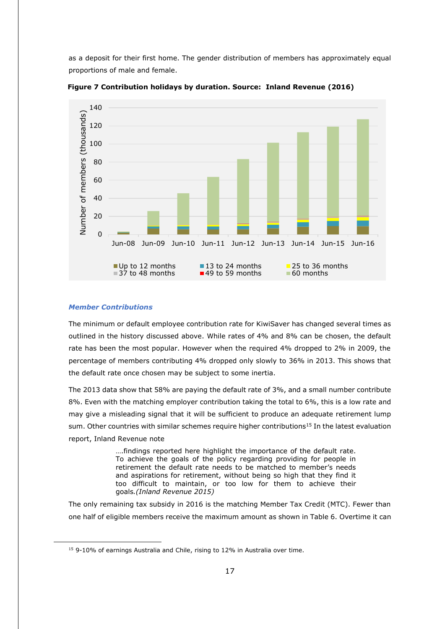as a deposit for their first home. The gender distribution of members has approximately equal proportions of male and female.



 **Figure 7 Contribution holidays by duration. Source: Inland Revenue (2016)**

#### <span id="page-16-0"></span>*Member Contributions*

-

The minimum or default employee contribution rate for KiwiSaver has changed several times as outlined in the history discussed above. While rates of 4% and 8% can be chosen, the default rate has been the most popular. However when the required 4% dropped to 2% in 2009, the percentage of members contributing 4% dropped only slowly to 36% in 2013. This shows that the default rate once chosen may be subject to some inertia.

The 2013 data show that 58% are paying the default rate of 3%, and a small number contribute 8%. Even with the matching employer contribution taking the total to 6%, this is a low rate and may give a misleading signal that it will be sufficient to produce an adequate retirement lump sum. Other countries with similar schemes require higher contributions<sup>15</sup> In the latest evaluation report, Inland Revenue note

> ….findings reported here highlight the importance of the default rate. To achieve the goals of the policy regarding providing for people in retirement the default rate needs to be matched to member's needs and aspirations for retirement, without being so high that they find it too difficult to maintain, or too low for them to achieve their goals*.(Inland Revenue 2015)*

The only remaining tax subsidy in 2016 is the matching Member Tax Credit (MTC). Fewer than one half of eligible members receive the maximum amount as shown in Table 6. Overtime it can

<sup>15</sup> 9-10% of earnings Australia and Chile, rising to 12% in Australia over time.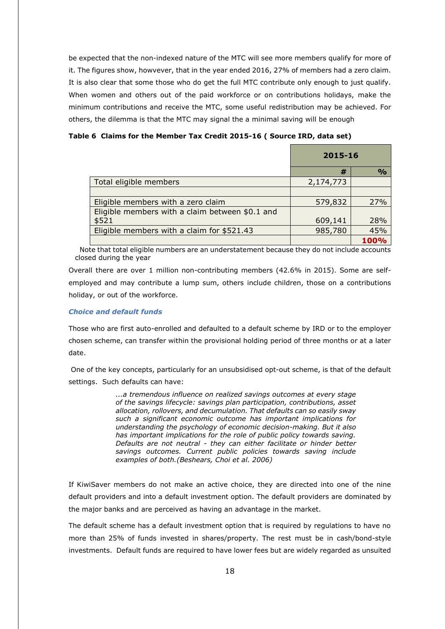be expected that the non-indexed nature of the MTC will see more members qualify for more of it. The figures show, howvever, that in the year ended 2016, 27% of members had a zero claim. It is also clear that some those who do get the full MTC contribute only enough to just qualify. When women and others out of the paid workforce or on contributions holidays, make the minimum contributions and receive the MTC, some useful redistribution may be achieved. For others, the dilemma is that the MTC may signal the a minimal saving will be enough

**Table 6 Claims for the Member Tax Credit 2015-16 ( Source IRD, data set)**

|                                                 | 2015-16   |               |
|-------------------------------------------------|-----------|---------------|
|                                                 | #         | $\frac{0}{0}$ |
| Total eligible members                          | 2,174,773 |               |
|                                                 |           |               |
| Eligible members with a zero claim              | 579,832   | 27%           |
| Eligible members with a claim between \$0.1 and |           |               |
| \$521                                           | 609,141   | 28%           |
| Eligible members with a claim for \$521.43      | 985,780   | 45%           |
|                                                 |           |               |

 Note that total eligible numbers are an understatement because they do not include accounts closed during the year

Overall there are over 1 million non-contributing members (42.6% in 2015). Some are selfemployed and may contribute a lump sum, others include children, those on a contributions holiday, or out of the workforce.

## <span id="page-17-0"></span>*Choice and default funds*

Those who are first auto-enrolled and defaulted to a default scheme by IRD or to the employer chosen scheme, can transfer within the provisional holding period of three months or at a later date.

One of the key concepts, particularly for an unsubsidised opt-out scheme, is that of the default settings. Such defaults can have:

> *...a tremendous influence on realized savings outcomes at every stage of the savings lifecycle: savings plan participation, contributions, asset allocation, rollovers, and decumulation. That defaults can so easily sway such a significant economic outcome has important implications for understanding the psychology of economic decision-making. But it also has important implications for the role of public policy towards saving. Defaults are not neutral - they can either facilitate or hinder better savings outcomes. Current public policies towards saving include examples of both.(Beshears, Choi et al. 2006)*

If KiwiSaver members do not make an active choice, they are directed into one of the nine default providers and into a default investment option. The default providers are dominated by the major banks and are perceived as having an advantage in the market.

The default scheme has a default investment option that is required by regulations to have no more than 25% of funds invested in shares/property. The rest must be in cash/bond-style investments. Default funds are required to have lower fees but are widely regarded as unsuited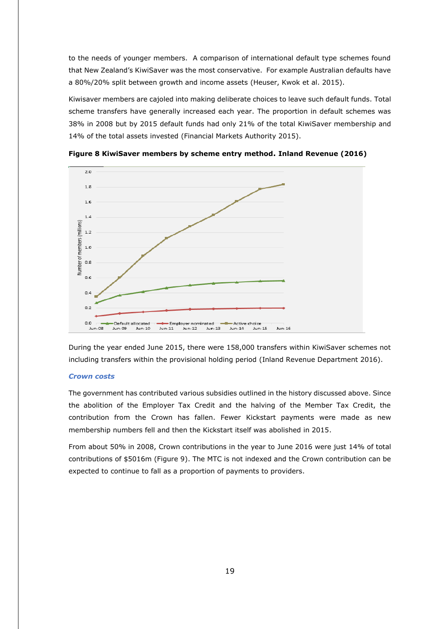to the needs of younger members. A comparison of international default type schemes found that New Zealand's KiwiSaver was the most conservative. For example Australian defaults have a 80%/20% split between growth and income assets (Heuser, Kwok et al. 2015).

Kiwisaver members are cajoled into making deliberate choices to leave such default funds. Total scheme transfers have generally increased each year. The proportion in default schemes was 38% in 2008 but by 2015 default funds had only 21% of the total KiwiSaver membership and 14% of the total assets invested (Financial Markets Authority 2015).



**Figure 8 KiwiSaver members by scheme entry method. Inland Revenue (2016)**

During the year ended June 2015, there were 158,000 transfers within KiwiSaver schemes not including transfers within the provisional holding period (Inland Revenue Department 2016).

#### <span id="page-18-0"></span>*Crown costs*

The government has contributed various subsidies outlined in the history discussed above. Since the abolition of the Employer Tax Credit and the halving of the Member Tax Credit, the contribution from the Crown has fallen. Fewer Kickstart payments were made as new membership numbers fell and then the Kickstart itself was abolished in 2015.

From about 50% in 2008, Crown contributions in the year to June 2016 were just 14% of total contributions of \$5016m (Figure 9). The MTC is not indexed and the Crown contribution can be expected to continue to fall as a proportion of payments to providers.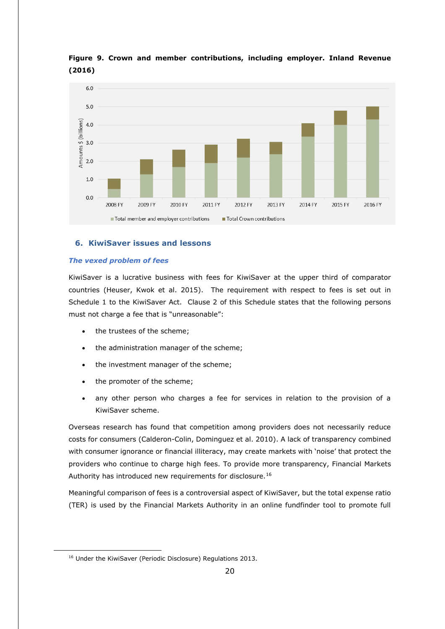

# **Figure 9. Crown and member contributions, including employer. Inland Revenue (2016)**

# <span id="page-19-0"></span>**6. KiwiSaver issues and lessons**

## <span id="page-19-1"></span>*The vexed problem of fees*

KiwiSaver is a lucrative business with fees for KiwiSaver at the upper third of comparator countries (Heuser, Kwok et al. 2015). The requirement with respect to fees is set out in Schedule 1 to the KiwiSaver Act. Clause 2 of this Schedule states that the following persons must not charge a fee that is "unreasonable":

- the trustees of the scheme;
- the administration manager of the scheme;
- the investment manager of the scheme;
- the promoter of the scheme;
- any other person who charges a fee for services in relation to the provision of a KiwiSaver scheme.

Overseas research has found that competition among providers does not necessarily reduce costs for consumers (Calderon-Colin, Dominguez et al. 2010). A lack of transparency combined with consumer ignorance or financial illiteracy, may create markets with 'noise' that protect the providers who continue to charge high fees. To provide more transparency, Financial Markets Authority has introduced new requirements for disclosure.<sup>16</sup>

Meaningful comparison of fees is a controversial aspect of KiwiSaver, but the total expense ratio (TER) is used by the Financial Markets Authority in an online fundfinder tool to promote full

<sup>&</sup>lt;sup>16</sup> Under the KiwiSaver (Periodic Disclosure) Regulations 2013.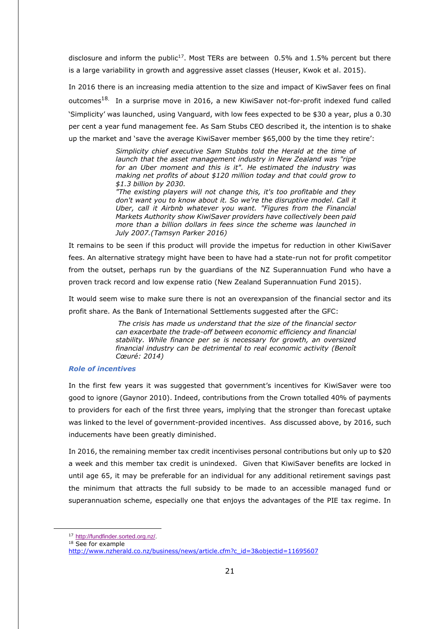disclosure and inform the public<sup>17</sup>. Most TERs are between  $0.5\%$  and 1.5% percent but there is a large variability in growth and aggressive asset classes (Heuser, Kwok et al. 2015).

In 2016 there is an increasing media attention to the size and impact of KiwSaver fees on final outcomes<sup>18.</sup> In a surprise move in 2016, a new KiwiSaver not-for-profit indexed fund called 'Simplicity' was launched, using Vanguard, with low fees expected to be \$30 a year, plus a 0.30 per cent a year fund management fee. As Sam Stubs CEO described it, the intention is to shake up the market and 'save the average KiwiSaver member \$65,000 by the time they retire':

> *Simplicity chief executive Sam Stubbs told the Herald at the time of launch that the asset management industry in New Zealand was "ripe for an Uber moment and this is it". He estimated the industry was making net profits of about \$120 million today and that could grow to \$1.3 billion by 2030.*

> *"The existing players will not change this, it's too profitable and they don't want you to know about it. So we're the disruptive model. Call it Uber, call it Airbnb whatever you want. "Figures from the Financial Markets Authority show KiwiSaver providers have collectively been paid more than a billion dollars in fees since the scheme was launched in July 2007.(Tamsyn Parker 2016)*

It remains to be seen if this product will provide the impetus for reduction in other KiwiSaver fees. An alternative strategy might have been to have had a state-run not for profit competitor from the outset, perhaps run by the guardians of the NZ Superannuation Fund who have a proven track record and low expense ratio (New Zealand Superannuation Fund 2015).

It would seem wise to make sure there is not an overexpansion of the financial sector and its profit share. As the Bank of International Settlements suggested after the GFC:

> *The crisis has made us understand that the size of the financial sector can exacerbate the trade-off between economic efficiency and financial stability. While finance per se is necessary for growth, an oversized financial industry can be detrimental to real economic activity (Benoît Cœuré: 2014)*

### <span id="page-20-0"></span>*Role of incentives*

In the first few years it was suggested that government's incentives for KiwiSaver were too good to ignore (Gaynor 2010). Indeed, contributions from the Crown totalled 40% of payments to providers for each of the first three years, implying that the stronger than forecast uptake was linked to the level of government-provided incentives. Ass discussed above, by 2016, such inducements have been greatly diminished.

In 2016, the remaining member tax credit incentivises personal contributions but only up to \$20 a week and this member tax credit is unindexed. Given that KiwiSaver benefits are locked in until age 65, it may be preferable for an individual for any additional retirement savings past the minimum that attracts the full subsidy to be made to an accessible managed fund or superannuation scheme, especially one that enjoys the advantages of the PIE tax regime. In

<sup>17</sup> [http://fundfinder.sorted.org.nz/.](http://fundfinder.sorted.org.nz/)

 $18$  See for example

[http://www.nzherald.co.nz/business/news/article.cfm?c\\_id=3&objectid=11695607](http://www.nzherald.co.nz/business/news/article.cfm?c_id=3&objectid=11695607)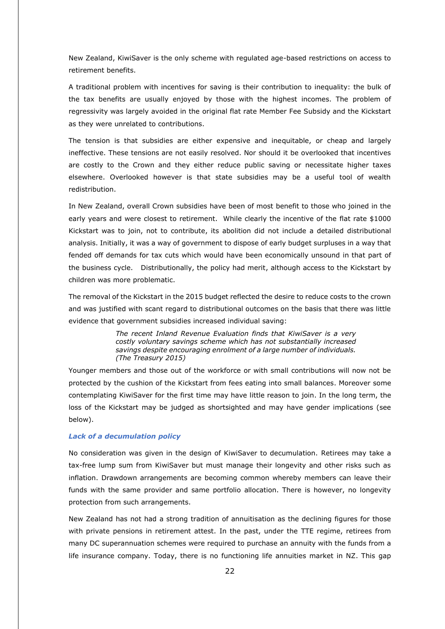New Zealand, KiwiSaver is the only scheme with regulated age-based restrictions on access to retirement benefits.

A traditional problem with incentives for saving is their contribution to inequality: the bulk of the tax benefits are usually enjoyed by those with the highest incomes. The problem of regressivity was largely avoided in the original flat rate Member Fee Subsidy and the Kickstart as they were unrelated to contributions.

The tension is that subsidies are either expensive and inequitable, or cheap and largely ineffective. These tensions are not easily resolved. Nor should it be overlooked that incentives are costly to the Crown and they either reduce public saving or necessitate higher taxes elsewhere. Overlooked however is that state subsidies may be a useful tool of wealth redistribution.

In New Zealand, overall Crown subsidies have been of most benefit to those who joined in the early years and were closest to retirement. While clearly the incentive of the flat rate \$1000 Kickstart was to join, not to contribute, its abolition did not include a detailed distributional analysis. Initially, it was a way of government to dispose of early budget surpluses in a way that fended off demands for tax cuts which would have been economically unsound in that part of the business cycle. Distributionally, the policy had merit, although access to the Kickstart by children was more problematic.

The removal of the Kickstart in the 2015 budget reflected the desire to reduce costs to the crown and was justified with scant regard to distributional outcomes on the basis that there was little evidence that government subsidies increased individual saving:

> *The recent Inland Revenue Evaluation finds that KiwiSaver is a very costly voluntary savings scheme which has not substantially increased savings despite encouraging enrolment of a large number of individuals. (The Treasury 2015)*

Younger members and those out of the workforce or with small contributions will now not be protected by the cushion of the Kickstart from fees eating into small balances. Moreover some contemplating KiwiSaver for the first time may have little reason to join. In the long term, the loss of the Kickstart may be judged as shortsighted and may have gender implications (see below).

# <span id="page-21-0"></span>*Lack of a decumulation policy*

No consideration was given in the design of KiwiSaver to decumulation. Retirees may take a tax-free lump sum from KiwiSaver but must manage their longevity and other risks such as inflation. Drawdown arrangements are becoming common whereby members can leave their funds with the same provider and same portfolio allocation. There is however, no longevity protection from such arrangements.

New Zealand has not had a strong tradition of annuitisation as the declining figures for those with private pensions in retirement attest. In the past, under the TTE regime, retirees from many DC superannuation schemes were required to purchase an annuity with the funds from a life insurance company. Today, there is no functioning life annuities market in NZ. This gap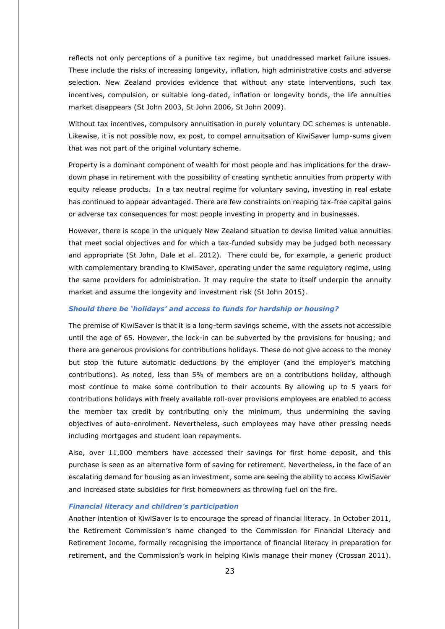reflects not only perceptions of a punitive tax regime, but unaddressed market failure issues. These include the risks of increasing longevity, inflation, high administrative costs and adverse selection. New Zealand provides evidence that without any state interventions, such tax incentives, compulsion, or suitable long-dated, inflation or longevity bonds, the life annuities market disappears (St John 2003, St John 2006, St John 2009).

Without tax incentives, compulsory annuitisation in purely voluntary DC schemes is untenable. Likewise, it is not possible now, ex post, to compel annuitsation of KiwiSaver lump-sums given that was not part of the original voluntary scheme.

Property is a dominant component of wealth for most people and has implications for the drawdown phase in retirement with the possibility of creating synthetic annuities from property with equity release products. In a tax neutral regime for voluntary saving, investing in real estate has continued to appear advantaged. There are few constraints on reaping tax-free capital gains or adverse tax consequences for most people investing in property and in businesses.

However, there is scope in the uniquely New Zealand situation to devise limited value annuities that meet social objectives and for which a tax-funded subsidy may be judged both necessary and appropriate (St John, Dale et al. 2012). There could be, for example, a generic product with complementary branding to KiwiSaver, operating under the same regulatory regime, using the same providers for administration. It may require the state to itself underpin the annuity market and assume the longevity and investment risk (St John 2015).

#### <span id="page-22-0"></span>*Should there be 'holidays' and access to funds for hardship or housing?*

The premise of KiwiSaver is that it is a long-term savings scheme, with the assets not accessible until the age of 65. However, the lock-in can be subverted by the provisions for housing; and there are generous provisions for contributions holidays. These do not give access to the money but stop the future automatic deductions by the employer (and the employer's matching contributions). As noted, less than 5% of members are on a contributions holiday, although most continue to make some contribution to their accounts By allowing up to 5 years for contributions holidays with freely available roll-over provisions employees are enabled to access the member tax credit by contributing only the minimum, thus undermining the saving objectives of auto-enrolment. Nevertheless, such employees may have other pressing needs including mortgages and student loan repayments.

Also, over 11,000 members have accessed their savings for first home deposit, and this purchase is seen as an alternative form of saving for retirement. Nevertheless, in the face of an escalating demand for housing as an investment, some are seeing the ability to access KiwiSaver and increased state subsidies for first homeowners as throwing fuel on the fire.

#### <span id="page-22-1"></span>*Financial literacy and children's participation*

Another intention of KiwiSaver is to encourage the spread of financial literacy. In October 2011, the Retirement Commission's name changed to the Commission for Financial Literacy and Retirement Income, formally recognising the importance of financial literacy in preparation for retirement, and the Commission's work in helping Kiwis manage their money (Crossan 2011).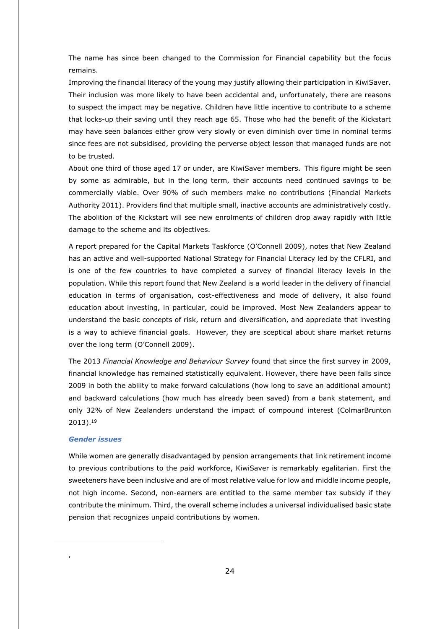The name has since been changed to the Commission for Financial capability but the focus remains.

Improving the financial literacy of the young may justify allowing their participation in KiwiSaver. Their inclusion was more likely to have been accidental and, unfortunately, there are reasons to suspect the impact may be negative. Children have little incentive to contribute to a scheme that locks-up their saving until they reach age 65. Those who had the benefit of the Kickstart may have seen balances either grow very slowly or even diminish over time in nominal terms since fees are not subsidised, providing the perverse object lesson that managed funds are not to be trusted.

About one third of those aged 17 or under, are KiwiSaver members. This figure might be seen by some as admirable, but in the long term, their accounts need continued savings to be commercially viable. Over 90% of such members make no contributions (Financial Markets Authority 2011). Providers find that multiple small, inactive accounts are administratively costly. The abolition of the Kickstart will see new enrolments of children drop away rapidly with little damage to the scheme and its objectives.

A report prepared for the Capital Markets Taskforce (O'Connell 2009), notes that New Zealand has an active and well-supported National Strategy for Financial Literacy led by the CFLRI, and is one of the few countries to have completed a survey of financial literacy levels in the population. While this report found that New Zealand is a world leader in the delivery of financial education in terms of organisation, cost-effectiveness and mode of delivery, it also found education about investing, in particular, could be improved. Most New Zealanders appear to understand the basic concepts of risk, return and diversification, and appreciate that investing is a way to achieve financial goals. However, they are sceptical about share market returns over the long term (O'Connell 2009).

The 2013 *Financial Knowledge and Behaviour Survey* found that since the first survey in 2009, financial knowledge has remained statistically equivalent. However, there have been falls since 2009 in both the ability to make forward calculations (how long to save an additional amount) and backward calculations (how much has already been saved) from a bank statement, and only 32% of New Zealanders understand the impact of compound interest (ColmarBrunton 2013). 19

# <span id="page-23-0"></span>*Gender issues*

-

,

While women are generally disadvantaged by pension arrangements that link retirement income to previous contributions to the paid workforce, KiwiSaver is remarkably egalitarian. First the sweeteners have been inclusive and are of most relative value for low and middle income people, not high income. Second, non-earners are entitled to the same member tax subsidy if they contribute the minimum. Third, the overall scheme includes a universal individualised basic state pension that recognizes unpaid contributions by women.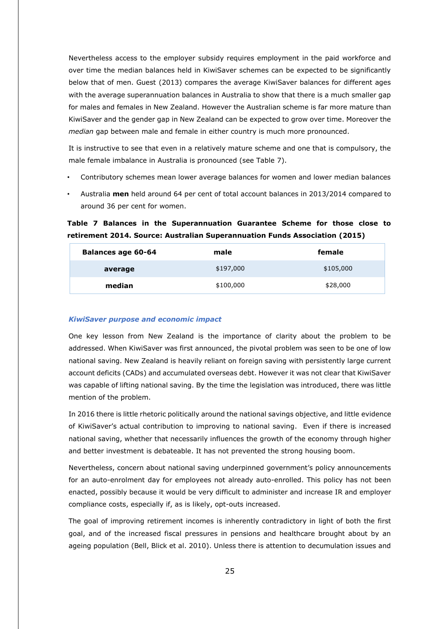Nevertheless access to the employer subsidy requires employment in the paid workforce and over time the median balances held in KiwiSaver schemes can be expected to be significantly below that of men. Guest (2013) compares the average KiwiSaver balances for different ages with the average superannuation balances in Australia to show that there is a much smaller gap for males and females in New Zealand. However the Australian scheme is far more mature than KiwiSaver and the gender gap in New Zealand can be expected to grow over time. Moreover the *median* gap between male and female in either country is much more pronounced.

It is instructive to see that even in a relatively mature scheme and one that is compulsory, the male female imbalance in Australia is pronounced (see Table 7).

- Contributory schemes mean lower average balances for women and lower median balances
- Australia **men** held around 64 per cent of total account balances in 2013/2014 compared to around 36 per cent for women.

**Table 7 Balances in the Superannuation Guarantee Scheme for those close to retirement 2014. Source: Australian Superannuation Funds Association (2015)**

| <b>Balances age 60-64</b> | male      | female    |
|---------------------------|-----------|-----------|
| average                   | \$197,000 | \$105,000 |
| median                    | \$100,000 | \$28,000  |

# <span id="page-24-0"></span>*KiwiSaver purpose and economic impact*

One key lesson from New Zealand is the importance of clarity about the problem to be addressed. When KiwiSaver was first announced, the pivotal problem was seen to be one of low national saving. New Zealand is heavily reliant on foreign saving with persistently large current account deficits (CADs) and accumulated overseas debt. However it was not clear that KiwiSaver was capable of lifting national saving. By the time the legislation was introduced, there was little mention of the problem.

In 2016 there is little rhetoric politically around the national savings objective, and little evidence of KiwiSaver's actual contribution to improving to national saving. Even if there is increased national saving, whether that necessarily influences the growth of the economy through higher and better investment is debateable. It has not prevented the strong housing boom.

Nevertheless, concern about national saving underpinned government's policy announcements for an auto-enrolment day for employees not already auto-enrolled. This policy has not been enacted, possibly because it would be very difficult to administer and increase IR and employer compliance costs, especially if, as is likely, opt-outs increased.

The goal of improving retirement incomes is inherently contradictory in light of both the first goal, and of the increased fiscal pressures in pensions and healthcare brought about by an ageing population (Bell, Blick et al. 2010). Unless there is attention to decumulation issues and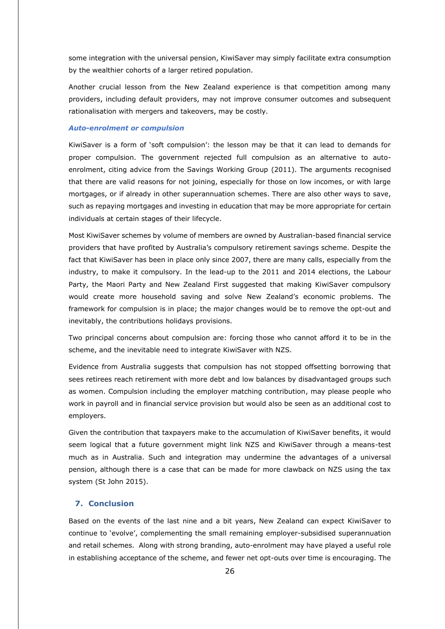some integration with the universal pension, KiwiSaver may simply facilitate extra consumption by the wealthier cohorts of a larger retired population.

Another crucial lesson from the New Zealand experience is that competition among many providers, including default providers, may not improve consumer outcomes and subsequent rationalisation with mergers and takeovers, may be costly.

#### <span id="page-25-0"></span>*Auto-enrolment or compulsion*

KiwiSaver is a form of 'soft compulsion': the lesson may be that it can lead to demands for proper compulsion. The government rejected full compulsion as an alternative to autoenrolment, citing advice from the Savings Working Group (2011). The arguments recognised that there are valid reasons for not joining, especially for those on low incomes, or with large mortgages, or if already in other superannuation schemes. There are also other ways to save, such as repaying mortgages and investing in education that may be more appropriate for certain individuals at certain stages of their lifecycle.

Most KiwiSaver schemes by volume of members are owned by Australian-based financial service providers that have profited by Australia's compulsory retirement savings scheme. Despite the fact that KiwiSaver has been in place only since 2007, there are many calls, especially from the industry, to make it compulsory. In the lead-up to the 2011 and 2014 elections, the Labour Party, the Maori Party and New Zealand First suggested that making KiwiSaver compulsory would create more household saving and solve New Zealand's economic problems. The framework for compulsion is in place; the major changes would be to remove the opt-out and inevitably, the contributions holidays provisions.

Two principal concerns about compulsion are: forcing those who cannot afford it to be in the scheme, and the inevitable need to integrate KiwiSaver with NZS.

Evidence from Australia suggests that compulsion has not stopped offsetting borrowing that sees retirees reach retirement with more debt and low balances by disadvantaged groups such as women. Compulsion including the employer matching contribution, may please people who work in payroll and in financial service provision but would also be seen as an additional cost to employers.

Given the contribution that taxpayers make to the accumulation of KiwiSaver benefits, it would seem logical that a future government might link NZS and KiwiSaver through a means-test much as in Australia. Such and integration may undermine the advantages of a universal pension, although there is a case that can be made for more clawback on NZS using the tax system (St John 2015).

# <span id="page-25-1"></span>**7. Conclusion**

Based on the events of the last nine and a bit years, New Zealand can expect KiwiSaver to continue to 'evolve', complementing the small remaining employer-subsidised superannuation and retail schemes. Along with strong branding, auto-enrolment may have played a useful role in establishing acceptance of the scheme, and fewer net opt-outs over time is encouraging. The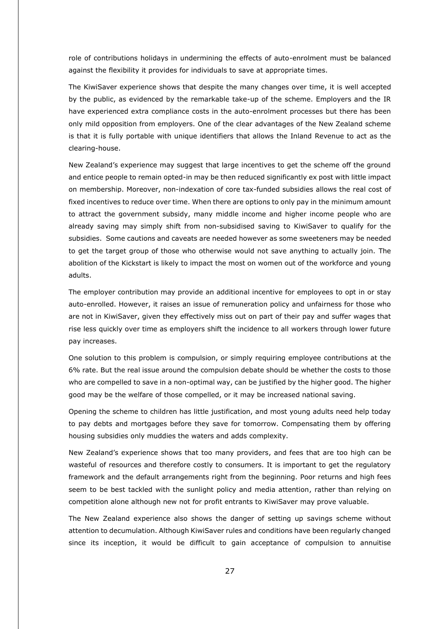role of contributions holidays in undermining the effects of auto-enrolment must be balanced against the flexibility it provides for individuals to save at appropriate times.

The KiwiSaver experience shows that despite the many changes over time, it is well accepted by the public, as evidenced by the remarkable take-up of the scheme. Employers and the IR have experienced extra compliance costs in the auto-enrolment processes but there has been only mild opposition from employers. One of the clear advantages of the New Zealand scheme is that it is fully portable with unique identifiers that allows the Inland Revenue to act as the clearing-house.

New Zealand's experience may suggest that large incentives to get the scheme off the ground and entice people to remain opted-in may be then reduced significantly ex post with little impact on membership. Moreover, non-indexation of core tax-funded subsidies allows the real cost of fixed incentives to reduce over time. When there are options to only pay in the minimum amount to attract the government subsidy, many middle income and higher income people who are already saving may simply shift from non-subsidised saving to KiwiSaver to qualify for the subsidies. Some cautions and caveats are needed however as some sweeteners may be needed to get the target group of those who otherwise would not save anything to actually join. The abolition of the Kickstart is likely to impact the most on women out of the workforce and young adults.

The employer contribution may provide an additional incentive for employees to opt in or stay auto-enrolled. However, it raises an issue of remuneration policy and unfairness for those who are not in KiwiSaver, given they effectively miss out on part of their pay and suffer wages that rise less quickly over time as employers shift the incidence to all workers through lower future pay increases.

One solution to this problem is compulsion, or simply requiring employee contributions at the 6% rate. But the real issue around the compulsion debate should be whether the costs to those who are compelled to save in a non-optimal way, can be justified by the higher good. The higher good may be the welfare of those compelled, or it may be increased national saving.

Opening the scheme to children has little justification, and most young adults need help today to pay debts and mortgages before they save for tomorrow. Compensating them by offering housing subsidies only muddies the waters and adds complexity.

New Zealand's experience shows that too many providers, and fees that are too high can be wasteful of resources and therefore costly to consumers. It is important to get the regulatory framework and the default arrangements right from the beginning. Poor returns and high fees seem to be best tackled with the sunlight policy and media attention, rather than relying on competition alone although new not for profit entrants to KiwiSaver may prove valuable.

The New Zealand experience also shows the danger of setting up savings scheme without attention to decumulation. Although KiwiSaver rules and conditions have been regularly changed since its inception, it would be difficult to gain acceptance of compulsion to annuitise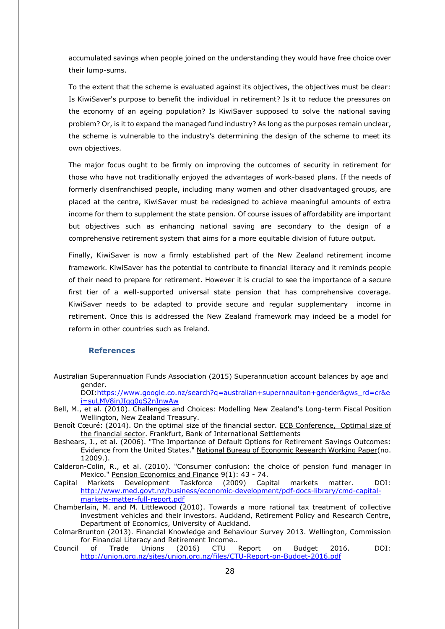accumulated savings when people joined on the understanding they would have free choice over their lump-sums.

To the extent that the scheme is evaluated against its objectives, the objectives must be clear: Is KiwiSaver's purpose to benefit the individual in retirement? Is it to reduce the pressures on the economy of an ageing population? Is KiwiSaver supposed to solve the national saving problem? Or, is it to expand the managed fund industry? As long as the purposes remain unclear, the scheme is vulnerable to the industry's determining the design of the scheme to meet its own objectives.

The major focus ought to be firmly on improving the outcomes of security in retirement for those who have not traditionally enjoyed the advantages of work-based plans. If the needs of formerly disenfranchised people, including many women and other disadvantaged groups, are placed at the centre, KiwiSaver must be redesigned to achieve meaningful amounts of extra income for them to supplement the state pension. Of course issues of affordability are important but objectives such as enhancing national saving are secondary to the design of a comprehensive retirement system that aims for a more equitable division of future output.

Finally, KiwiSaver is now a firmly established part of the New Zealand retirement income framework. KiwiSaver has the potential to contribute to financial literacy and it reminds people of their need to prepare for retirement. However it is crucial to see the importance of a secure first tier of a well-supported universal state pension that has comprehensive coverage. KiwiSaver needs to be adapted to provide secure and regular supplementary income in retirement. Once this is addressed the New Zealand framework may indeed be a model for reform in other countries such as Ireland.

# **References**

Australian Superannuation Funds Association (2015) Superannuation account balances by age and gender.

DOI[:https://www.google.co.nz/search?q=australian+supernnauiton+gender&gws\\_rd=cr&e](https://www.google.co.nz/search?q=australian+supernnauiton+gender&gws_rd=cr&ei=suLMV8inJIqq0gS2nInwAw) [i=suLMV8inJIqq0gS2nInwAw](https://www.google.co.nz/search?q=australian+supernnauiton+gender&gws_rd=cr&ei=suLMV8inJIqq0gS2nInwAw)

- Bell, M., et al. (2010). Challenges and Choices: Modelling New Zealand's Long-term Fiscal Position Wellington, New Zealand Treasury.
- Benoît Cœuré: (2014). On the optimal size of the financial sector. ECB Conference, Optimal size of the financial sector. Frankfurt, Bank of International Settlements
- Beshears, J., et al. (2006). "The Importance of Default Options for Retirement Savings Outcomes: Evidence from the United States." National Bureau of Economic Research Working Paper(no. 12009.).
- Calderon-Colin, R., et al. (2010). "Consumer confusion: the choice of pension fund manager in Mexico." Pension Economics and Finance 9(1): 43 - 74.
- Capital Markets Development Taskforce (2009) Capital markets matter. DOI: [http://www.med.govt.nz/business/economic-development/pdf-docs-library/cmd-capital](http://www.med.govt.nz/business/economic-development/pdf-docs-library/cmd-capital-markets-matter-full-report.pdf)[markets-matter-full-report.pdf](http://www.med.govt.nz/business/economic-development/pdf-docs-library/cmd-capital-markets-matter-full-report.pdf)
- Chamberlain, M. and M. Littlewood (2010). Towards a more rational tax treatment of collective investment vehicles and their investors. Auckland, Retirement Policy and Research Centre, Department of Economics, University of Auckland.
- ColmarBrunton (2013). Financial Knowledge and Behaviour Survey 2013. Wellington, Commission for Financial Literacy and Retirement Income..
- Council of Trade Unions (2016) CTU Report on Budget 2016. DOI: <http://union.org.nz/sites/union.org.nz/files/CTU-Report-on-Budget-2016.pdf>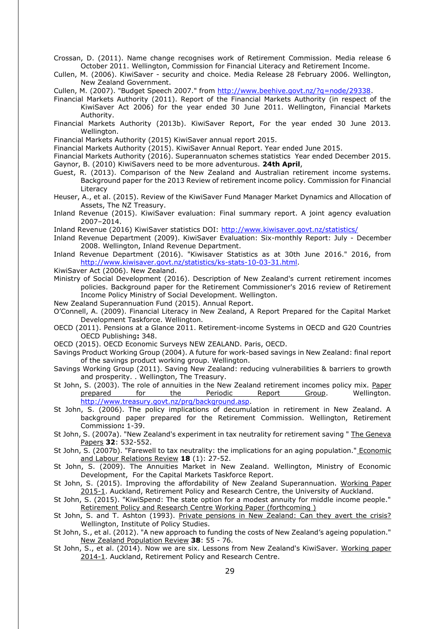Crossan, D. (2011). Name change recognises work of Retirement Commission. Media release 6 October 2011. Wellington, Commission for Financial Literacy and Retirement Income.

Cullen, M. (2006). KiwiSaver - security and choice. Media Release 28 February 2006. Wellington, New Zealand Government.

Cullen, M. (2007). "Budget Speech 2007." from [http://www.beehive.govt.nz/?q=node/29338.](http://www.beehive.govt.nz/?q=node/29338)

- Financial Markets Authority (2011). Report of the Financial Markets Authority (in respect of the KiwiSaver Act 2006) for the year ended 30 June 2011. Wellington, Financial Markets Authority.
- Financial Markets Authority (2013b). KiwiSaver Report, For the year ended 30 June 2013. Wellington.

Financial Markets Authority (2015) KiwiSaver annual report 2015.

Financial Markets Authority (2015). KiwiSaver Annual Report. Year ended June 2015.

Financial Markets Authority (2016). Superannuaton schemes statistics Year ended December 2015.

- Gaynor, B. (2010) KiwiSavers need to be more adventurous. **24th April**,
- Guest, R. (2013). Comparison of the New Zealand and Australian retirement income systems. Background paper for the 2013 Review of retirement income policy. Commission for Financial Literacy
- Heuser, A., et al. (2015). Review of the KiwiSaver Fund Manager Market Dynamics and Allocation of Assets, The NZ Treasury.
- Inland Revenue (2015). KiwiSaver evaluation: Final summary report. A joint agency evaluation 2007–2014.
- Inland Revenue (2016) KiwiSaver statistics DOI:<http://www.kiwisaver.govt.nz/statistics/>
- Inland Revenue Department (2009). KiwiSaver Evaluation: Six-monthly Report: July December 2008. Wellington, Inland Revenue Department.
- Inland Revenue Department (2016). "Kiwisaver Statistics as at 30th June 2016." 2016, from [http://www.kiwisaver.govt.nz/statistics/ks-stats-10-03-31.html.](http://www.kiwisaver.govt.nz/statistics/ks-stats-10-03-31.html)
- KiwiSaver Act (2006). New Zealand.
- Ministry of Social Development (2016). Description of New Zealand's current retirement incomes policies. Background paper for the Retirement Commissioner's 2016 review of Retirement Income Policy Ministry of Social Development. Wellington.
- New Zealand Superannuation Fund (2015). Annual Report.
- O'Connell, A. (2009). Financial Literacy in New Zealand, A Report Prepared for the Capital Market Development Taskforce. Wellington.
- OECD (2011). Pensions at a Glance 2011. Retirement-income Systems in OECD and G20 Countries OECD Publishing**:** 348.
- OECD (2015). OECD Economic Surveys NEW ZEALAND. Paris, OECD.
- Savings Product Working Group (2004). A future for work-based savings in New Zealand: final report of the savings product working group. Wellington.
- Savings Working Group (2011). Saving New Zealand: reducing vulnerabilities & barriers to growth and prosperity. . Wellington, The Treasury.
- St John, S. (2003). The role of annuities in the New Zealand retirement incomes policy mix. Paper prepared for the Periodic Report Group. Wellington. [http://www.treasury.govt.nz/prg/background.asp.](http://www.treasury.govt.nz/prg/background.asp)
- St John, S. (2006). The policy implications of decumulation in retirement in New Zealand. A background paper prepared for the Retirement Commission. Wellington, Retirement Commission**:** 1-39.
- St John, S. (2007a). "New Zealand's experiment in tax neutrality for retirement saving " The Geneva Papers **32**: 532-552.
- St John, S. (2007b). "Farewell to tax neutrality: the implications for an aging population." Economic and Labour Relations Review **18** (1): 27-52.
- St John, S. (2009). The Annuities Market in New Zealand. Wellington, Ministry of Economic Development, For the Capital Markets Taskforce Report.
- St John, S. (2015). Improving the affordability of New Zealand Superannuation. Working Paper 2015-1. Auckland, Retirement Policy and Research Centre, the University of Auckland.
- St John, S. (2015). "KiwiSpend: The state option for a modest annuity for middle income people." Retirement Policy and Research Centre Working Paper (forthcoming )
- St John, S. and T. Ashton (1993). Private pensions in New Zealand: Can they avert the crisis? Wellington, Institute of Policy Studies.
- St John, S., et al. (2012). "A new approach to funding the costs of New Zealand's ageing population." New Zealand Population Review **38**: 55 - 76.
- St John, S., et al. (2014). Now we are six. Lessons from New Zealand's KiwiSaver. Working paper 2014-1. Auckland, Retirement Policy and Research Centre.